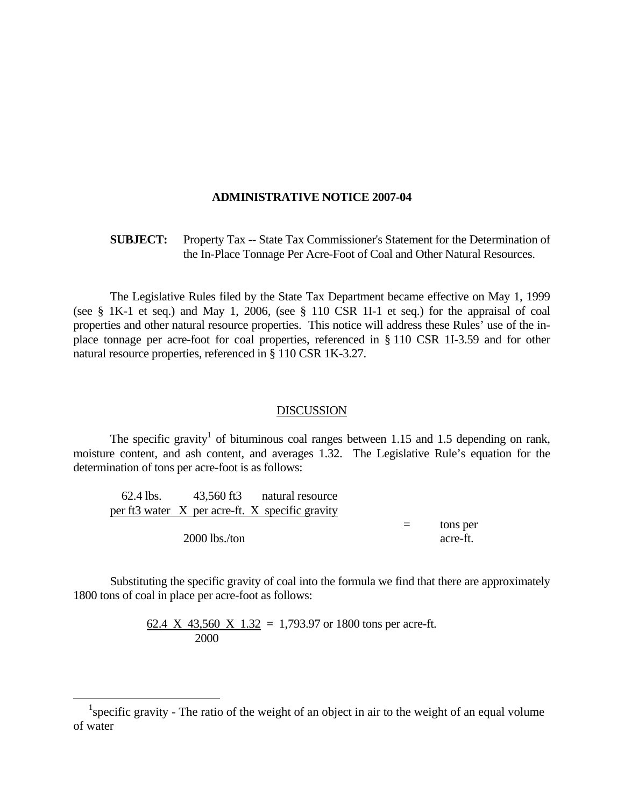## **ADMINISTRATIVE NOTICE 2007-04**

## **SUBJECT:** Property Tax -- State Tax Commissioner's Statement for the Determination of the In-Place Tonnage Per Acre-Foot of Coal and Other Natural Resources.

 The Legislative Rules filed by the State Tax Department became effective on May 1, 1999 (see § 1K-1 et seq.) and May 1, 2006, (see § 110 CSR 1I-1 et seq.) for the appraisal of coal properties and other natural resource properties. This notice will address these Rules' use of the inplace tonnage per acre-foot for coal properties, referenced in § 110 CSR 1I-3.59 and for other natural resource properties, referenced in § 110 CSR 1K-3.27.

## DISCUSSION

The specific gravity<sup>1</sup> of bituminous coal ranges between 1.15 and 1.5 depending on rank, moisture content, and ash content, and averages 1.32. The Legislative Rule's equation for the determination of tons per acre-foot is as follows:

|                 |  | 62.4 lbs. 43,560 ft3 natural resource           |          |          |
|-----------------|--|-------------------------------------------------|----------|----------|
|                 |  | per ft3 water X per acre-ft. X specific gravity |          |          |
|                 |  |                                                 | $=$      | tons per |
| $2000$ lbs./ton |  |                                                 | acre-ft. |          |

 Substituting the specific gravity of coal into the formula we find that there are approximately 1800 tons of coal in place per acre-foot as follows:

> 62.4 X 43,560 X 1.32 = 1,793.97 or 1800 tons per acre-ft. 2000

 $\overline{a}$ 

<sup>&</sup>lt;sup>1</sup> specific gravity - The ratio of the weight of an object in air to the weight of an equal volume of water